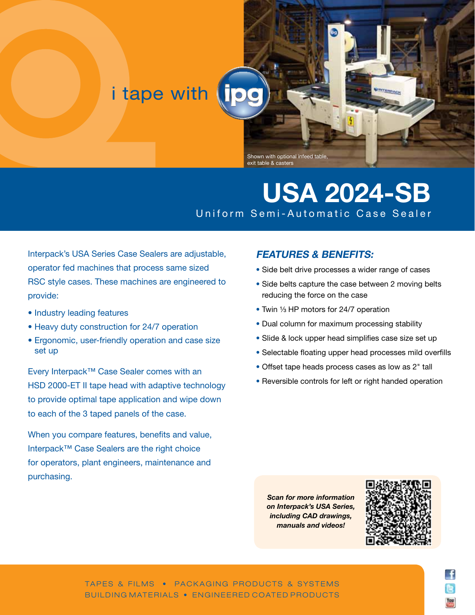## i tape with

Shown with optional infeed table, exit table & casters

TM

## **USA 2024-SB** Uniform Semi-Automatic Case Sealer

Interpack's USA Series Case Sealers are adjustable, operator fed machines that process same sized RSC style cases. These machines are engineered to provide:

- Industry leading features
- Heavy duty construction for 24/7 operation
- Ergonomic, user-friendly operation and case size set up

Every Interpack™ Case Sealer comes with an HSD 2000-ET II tape head with adaptive technology to provide optimal tape application and wipe down to each of the 3 taped panels of the case.

When you compare features, benefits and value, Interpack™ Case Sealers are the right choice for operators, plant engineers, maintenance and purchasing.

## **FEATURES & BENEFITS:**

- Side belt drive processes a wider range of cases
- Side belts capture the case between 2 moving belts reducing the force on the case
- Twin 1/3 HP motors for 24/7 operation
- Dual column for maximum processing stability
- Slide & lock upper head simplifies case size set up
- Selectable floating upper head processes mild overfills
- Offset tape heads process cases as low as 2" tall
- Reversible controls for left or right handed operation

*Scan for more information on Interpack's USA Series, including CAD drawings, manuals and videos!*